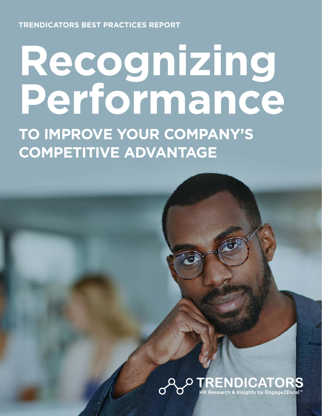**TRENDICATORS BEST PRACTICES REPORT** 

# **Recognizing Performance TO IMPROVE YOUR COMPANY'S COMPETITIVE ADVANTAGE**

## **RENDICATORS**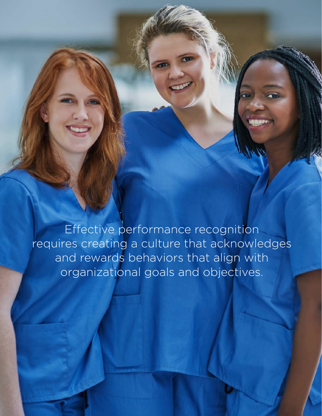Effective performance recognition requires creating a culture that acknowledges and rewards behaviors that align with organizational goals and objectives.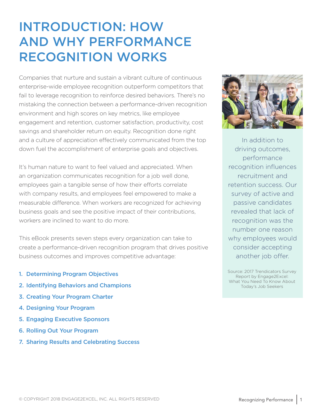### INTRODUCTION: HOW AND WHY PERFORMANCE RECOGNITION WORKS

Companies that nurture and sustain a vibrant culture of continuous enterprise-wide employee recognition outperform competitors that fail to leverage recognition to reinforce desired behaviors. There's no mistaking the connection between a performance-driven recognition environment and high scores on key metrics, like employee engagement and retention, customer satisfaction, productivity, cost savings and shareholder return on equity. Recognition done right and a culture of appreciation effectively communicated from the top down fuel the accomplishment of enterprise goals and objectives.

It's human nature to want to feel valued and appreciated. When an organization communicates recognition for a job well done, employees gain a tangible sense of how their efforts correlate with company results, and employees feel empowered to make a measurable difference. When workers are recognized for achieving business goals and see the positive impact of their contributions, workers are inclined to want to do more.

This eBook presents seven steps every organization can take to create a performance-driven recognition program that drives positive business outcomes and improves competitive advantage:

- 1. Determining Program Objectives
- 2. Identifying Behaviors and Champions
- 3. Creating Your Program Charter
- 4. Designing Your Program
- 5. Engaging Executive Sponsors
- 6. Rolling Out Your Program
- 7. Sharing Results and Celebrating Success



In addition to driving outcomes, performance recognition influences recruitment and retention success. Our survey of active and passive candidates revealed that lack of recognition was the number one reason why employees would consider accepting another job offer.

Source: 2017 Trendicators Survey Report by Engage2Excel: What You Need To Know About Today's Job Seekers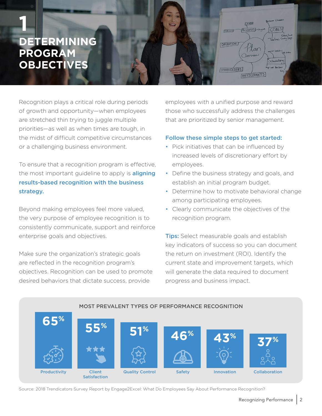

Recognition plays a critical role during periods of growth and opportunity—when employees are stretched thin trying to juggle multiple priorities—as well as when times are tough, in the midst of difficult competitive circumstances or a challenging business environment.

To ensure that a recognition program is effective, the most important guideline to apply is **aligning** results-based recognition with the business strategy.

Beyond making employees feel more valued, the very purpose of employee recognition is to consistently communicate, support and reinforce enterprise goals and objectives.

Make sure the organization's strategic goals are reflected in the recognition program's objectives. Recognition can be used to promote desired behaviors that dictate success, provide

employees with a unified purpose and reward those who successfully address the challenges that are prioritized by senior management.

#### Follow these simple steps to get started:

- Pick initiatives that can be influenced by increased levels of discretionary effort by employees.
- Define the business strategy and goals, and establish an initial program budget.
- Determine how to motivate behavioral change among participating employees.
- Clearly communicate the objectives of the recognition program.

**Tips:** Select measurable goals and establish key indicators of success so you can document the return on investment (ROI). Identify the current state and improvement targets, which will generate the data required to document progress and business impact.



Source: 2018 Trendicators Survey Report by Engage2Excel: What Do Employees Say About Performance Recognition?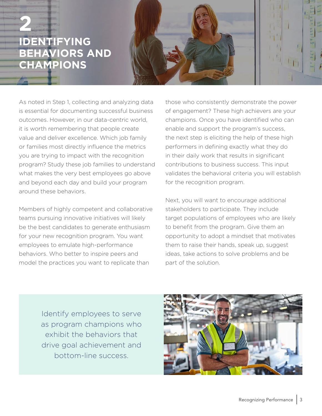### **IDENTIFYING BEHAVIORS AND CHAMPIONS 2**



As noted in Step 1, collecting and analyzing data is essential for documenting successful business outcomes. However, in our data-centric world, it is worth remembering that people create value and deliver excellence. Which job family or families most directly influence the metrics you are trying to impact with the recognition program? Study these job families to understand what makes the very best employees go above and beyond each day and build your program around these behaviors.

Members of highly competent and collaborative teams pursuing innovative initiatives will likely be the best candidates to generate enthusiasm for your new recognition program. You want employees to emulate high-performance behaviors. Who better to inspire peers and model the practices you want to replicate than

those who consistently demonstrate the power of engagement? These high achievers are your champions. Once you have identified who can enable and support the program's success, the next step is eliciting the help of these high performers in defining exactly what they do in their daily work that results in significant contributions to business success. This input validates the behavioral criteria you will establish for the recognition program.

Next, you will want to encourage additional stakeholders to participate. They include target populations of employees who are likely to benefit from the program. Give them an opportunity to adopt a mindset that motivates them to raise their hands, speak up, suggest ideas, take actions to solve problems and be part of the solution.

Identify employees to serve as program champions who exhibit the behaviors that drive goal achievement and bottom-line success.

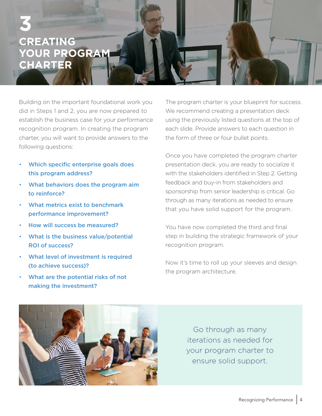### **CREATING YOUR PROGRAM CHARTER 3**

Building on the important foundational work you did in Steps 1 and 2, you are now prepared to establish the business case for your performance recognition program. In creating the program charter, you will want to provide answers to the following questions:

- Which specific enterprise goals does this program address?
- What behaviors does the program aim to reinforce?
- What metrics exist to benchmark performance improvement?
- How will success be measured?
- What is the business value/potential ROI of success?
- What level of investment is required (to achieve success)?
- What are the potential risks of not making the investment?

The program charter is your blueprint for success. We recommend creating a presentation deck using the previously listed questions at the top of each slide. Provide answers to each question in the form of three or four bullet points.

Once you have completed the program charter presentation deck, you are ready to socialize it with the stakeholders identified in Step 2. Getting feedback and buy-in from stakeholders and sponsorship from senior leadership is critical. Go through as many iterations as needed to ensure that you have solid support for the program.

You have now completed the third and final step in building the strategic framework of your recognition program.

Now it's time to roll up your sleeves and design the program architecture.



Go through as many iterations as needed for your program charter to ensure solid support.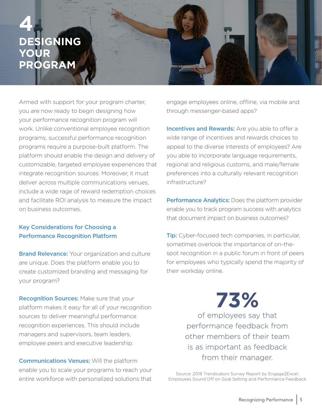### **ESIGNING YOUR PROGRAM 4**

Armed with support for your program charter, you are now ready to begin designing how your performance recognition program will work. Unlike conventional employee recognition programs, successful performance recognition programs require a purpose-built platform. The platform should enable the design and delivery of customizable, targeted employee experiences that integrate recognition sources. Moreover, it must deliver across multiple communications venues, include a wide rage of reward redemption choices and facilitate ROI analysis to measure the impact on business outcomes.

#### Key Considerations for Choosing a Performance Recognition Platform

**Brand Relevance:** Your organization and culture are unique. Does the platform enable you to create customized branding and messaging for your program?

**Recognition Sources: Make sure that your** platform makes it easy for all of your recognition sources to deliver meaningful performance recognition experiences. This should include managers and supervisors, team leaders, employee peers and executive leadership.

**Communications Venues: Will the platform** enable you to scale your programs to reach your entire workforce with personalized solutions that engage employees online, offline, via mobile and through messenger-based apps?

**Incentives and Rewards:** Are you able to offer a wide range of incentives and rewards choices to appeal to the diverse interests of employees? Are you able to incorporate language requirements, regional and religious customs, and male/female preferences into a culturally relevant recognition infrastructure?

Performance Analytics: Does the platform provider enable you to track program success with analytics that document impact on business outcomes?

**Tip:** Cyber-focused tech companies, in particular, sometimes overlook the importance of on-thespot recognition in a public forum in front of peers for employees who typically spend the majority of their workday online.

> **73%** of employees say that

performance feedback from other members of their team is as important as feedback from their manager.

Source: 2018 Trendicators Survey Report by Engage2Excel: Employees Sound Off on Goal Setting and Performance Feedback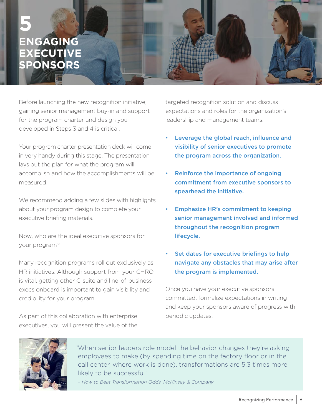### **ENGAGING EXECUTIVE SPONSORS 5**

Before launching the new recognition initiative, gaining senior management buy-in and support for the program charter and design you developed in Steps 3 and 4 is critical.

Your program charter presentation deck will come in very handy during this stage. The presentation lays out the plan for what the program will accomplish and how the accomplishments will be measured.

We recommend adding a few slides with highlights about your program design to complete your executive briefing materials.

Now, who are the ideal executive sponsors for your program?

Many recognition programs roll out exclusively as HR initiatives. Although support from your CHRO is vital, getting other C-suite and line-of-business execs onboard is important to gain visibility and credibility for your program.

As part of this collaboration with enterprise executives, you will present the value of the targeted recognition solution and discuss expectations and roles for the organization's leadership and management teams.

- Leverage the global reach, influence and visibility of senior executives to promote the program across the organization.
- Reinforce the importance of ongoing commitment from executive sponsors to spearhead the initiative.
- Emphasize HR's commitment to keeping senior management involved and informed throughout the recognition program lifecycle.
- Set dates for executive briefings to help navigate any obstacles that may arise after the program is implemented.

Once you have your executive sponsors committed, formalize expectations in writing and keep your sponsors aware of progress with periodic updates.



"When senior leaders role model the behavior changes they're asking employees to make (by spending time on the factory floor or in the call center, where work is done), transformations are 5.3 times more likely to be successful."

*– How to Beat Transformation Odds, McKinsey & Company*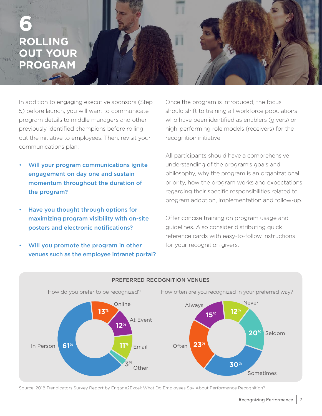### **ROLLING OUT YOUR PROGRAM 6**

In addition to engaging executive sponsors (Step 5) before launch, you will want to communicate program details to middle managers and other previously identified champions before rolling out the initiative to employees. Then, revisit your communications plan:

- Will your program communications ignite engagement on day one and sustain momentum throughout the duration of the program?
- Have you thought through options for maximizing program visibility with on-site posters and electronic notifications?
- Will you promote the program in other venues such as the employee intranet portal?

Once the program is introduced, the focus should shift to training all workforce populations who have been identified as enablers (givers) or high-performing role models (receivers) for the recognition initiative.

All participants should have a comprehensive understanding of the program's goals and philosophy, why the program is an organizational priority, how the program works and expectations regarding their specific responsibilities related to program adoption, implementation and follow-up.

Offer concise training on program usage and guidelines. Also consider distributing quick reference cards with easy-to-follow instructions for your recognition givers.



#### PREFERRED RECOGNITION VENUES

Source: 2018 Trendicators Survey Report by Engage2Excel: What Do Employees Say About Performance Recognition?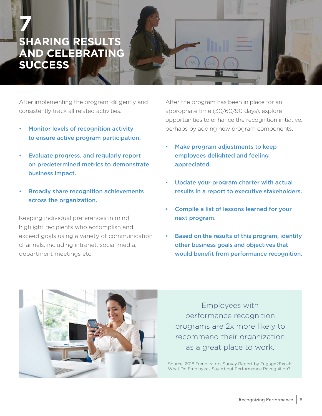### **SHARING RESULT AND CELEBRATING SUCCESS 7**

After implementing the program, diligently and consistently track all related activities.

- Monitor levels of recognition activity to ensure active program participation.
- Evaluate progress, and regularly report on predetermined metrics to demonstrate business impact.
- Broadly share recognition achievements across the organization.

Keeping individual preferences in mind, highlight recipients who accomplish and exceed goals using a variety of communication channels, including intranet, social media, department meetings etc.

After the program has been in place for an appropriate time (30/60/90 days), explore opportunities to enhance the recognition initiative, perhaps by adding new program components.

- Make program adjustments to keep employees delighted and feeling appreciated.
- Update your program charter with actual results in a report to executive stakeholders.
- Compile a list of lessons learned for your next program.
- Based on the results of this program, identify other business goals and objectives that would benefit from performance recognition.



Employees with performance recognition programs are 2x more likely to recommend their organization as a great place to work.

Source: 2018 Trendicators Survey Report by Engage2Excel: What Do Employees Say About Performance Recognition?